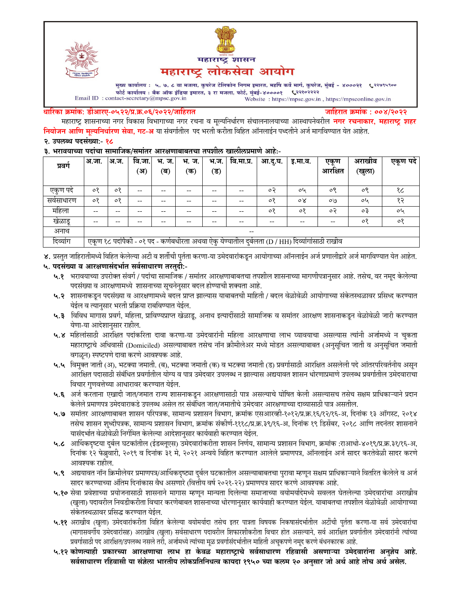



मुख्य कार्यालय : ५, ७, ८ वा मजला, कुपरेज टेलिफोन निगम इमारत, महर्षि कर्वे मार्ग, कुपरेज, मुंबई - ४०००२१ ९२९७९५९०० फोर्ट कार्यालय : बँक ऑफ इंडिया इमारत, ३ रा मजला, फोर्ट, मुंबई-४००००१ ९२११०२२२२ Email ID: contact-secretary@mpsc.gov.in Website: https://mpsc.gov.in, https://mpsconline.gov.in

#### धारिका क्रमांक: डीआरए-०५२२/प्र.क्र.०६/२०२२/जाहिरात

जाहिरात क्रमांक : ००४/२०२२

महाराष्ट्र शासनाच्या नगर विकास विभागाच्या नगर रचना व मूल्यनिर्धारण संचालनालयाच्या आस्थापनेवरील **नगर रचनाकार, महाराष्ट्र शहर** नियोजन आणि मूल्यनिर्धारण सेवा, गट-अ या संवर्गातील पद भरती करीता विहित ऑनलाईन पध्दतीने अर्ज मार्गावण्यात येत आहेत.

#### २. उपलब्ध पदसंख्या:- १८

#### ३. भरावयाच्या पदांचा सामाजिक/समांतर आरक्षणाबाबतचा तपशील खालीलप्रमाणे आहे:-

| प्रवग             | अ.जा.                                                                                           | अ.ज.    | वि.जा. | भ. ज. | भ. ज. | भ.ज.   | वि.मा.प्र. | आ.दू.घ. | इ.मा.व. | एकूण    | अराखाव    | एकूण पदे |
|-------------------|-------------------------------------------------------------------------------------------------|---------|--------|-------|-------|--------|------------|---------|---------|---------|-----------|----------|
|                   |                                                                                                 |         | (अ)    | (ब)   | (क)   | $($ ड) |            |         |         | आरक्षित | (खुला)    |          |
| एकुण पदे          | ०१                                                                                              | $\circ$ | --     | --    |       |        | $- -$      | ०२      | oh      | ०९      | ०९        | १८       |
| सवसाधारण          | ०१                                                                                              | ०१      | --     | --    | --    | --     | $- -$      | ०१      | οY      | OQ      | oh        | १२       |
| महिला             | $- -$                                                                                           | --      | --     | --    |       | --     | --         | ०१      | ०१      | ०२      | $\circ$ 3 | oh       |
| खेळाडू            | --                                                                                              |         |        |       |       |        | --         | --      | --      | --      | $\circ$   | ०१       |
| अनाथ              | $- -$                                                                                           |         |        |       |       |        |            |         |         |         |           |          |
| $\sim$<br>दिव्याग | एकूण १८ पदांपैकी - ०१ पद - कर्णबधीरता अथवा ऐकु येण्यातील दुर्बलता (D / HH) दिव्यांगांसाठी राखीव |         |        |       |       |        |            |         |         |         |           |          |

४. प्रस्तुत जाहिरातीमध्ये विहित केलेल्या अटी व शर्तीची पुर्तता करणा-या उमेदवारांकडून आयोगाच्या ऑनलाईन अर्ज प्रणालीद्वारे अर्ज मार्गावण्यात येत आहेत.

## ५. पदसंख्या व आरक्षणासंदर्भात सर्वसाधारण तरतुदी:-

- ५.१ भरावयाच्या उपरोक्त संवर्ग / पदांचा सामाजिक / समांतर आरक्षणाबाबतचा तपशील शासनाच्या मागणीपत्रानुसार आहे. तसेच, वर नमूद केलेल्या पदसंख्या व आरक्षणामध्ये शासनाच्या सूचनेनुसार बदल होण्याची शक्यता आहे.
- ५.२ शासनाकडून पदसंख्या व आरक्षणामध्ये बदल प्राप्त झाल्यास याबाबतची माहिती / बदल वेळोवेळी आयोगाच्या संकेतस्थळावर प्रसिध्द करण्यात येईल व त्यानुसार भरती प्रक्रिया राबविण्यात येईल.
- ५.३ विविध मागास प्रवर्ग, महिला, प्राविण्यप्राप्त खेळाडू, अनाथ इत्यादींसाठी सामाजिक व समांतर आरक्षण शासनाकडून वेळोवेळी जारी करण्यात येणा-या आदेशानुसार राहील.
- ५.४ महिलांसाठी आरक्षित पदांकरिता दावा करणा-या उमेदवारांनी महिला आरक्षणाचा लाभ घ्यावयाचा असल्यास त्यांनी अर्जामध्ये न चुकता महाराष्ट्राचे अधिवासी (Domiciled) असल्याबाबत तसेच नॉन क्रीमीलेअर मध्ये मोडत असल्याबाबत (अनुसूचित जाती व अनुसूचित जमाती वगळून) स्पष्टपणे दावा करणे आवश्यक आहे.
- ५.५ विमुक्त जाती (अ), भटक्या जमाती. (ब), भटक्या जमाती (क) व भटक्या जमाती (ड) प्रवर्गासाठी आरक्षित असलेली पदे आंतरपरिवर्तनीय असुन आरक्षित पदासाठी संबंधित प्रवर्गातील योग्य व पात्र उमेदवार उपलब्ध न झाल्यास अद्ययावत शासन धोरणाप्रमाणे उपलब्ध प्रवर्गातील उमेदवाराचा विचार गुणवत्तेच्या आधारावर करण्यात येईल.
- ५.६ अर्ज करताना एखादी जात/जमात राज्य शासनाकडून आरक्षणासाठी पात्र असल्याचे घोषित केली असल्यासच तसेच सक्षम प्राधिकाऱ्याने प्रदान केलेले प्रमाणपत्र उमेदवाराकडे उपलब्ध असेल तर संबंधित जात/जमातीचे उमेदवार आरक्षणाच्या दाव्यासाठी पात्र असतील.
- ५.७ समांतर आरक्षणाबाबत शासन परिपत्रक, सामान्य प्रशासन विभाग, क्रमांक एसआरव्ही-१०१२/प्र.क्र.१६/१२/१६-अ, दिनांक १३ ऑगस्ट, २०१४ तसेच शासन शुध्दीपत्रक, सामान्य प्रशासन विभाग, क्रमांक संकीर्ण-१११८/प्र.क्र.३९/१६-अ, दिनांक १९ डिसेंबर, २०१८ आणि तदनंतर शासनाने यासंदर्भात वेळोवेळी निर्गमित केलेल्या आदेशानुसार कार्यवाही करण्यात येईल.
- ५.८ आर्थिकदृष्टया दुर्बल घटकांतील (ईडब्लूएस) उमेदवारांकरीता शासन निर्णय, सामान्य प्रशासन विभाग, क्रमांक :राआधो-४०१९/प्र.क्र.३१/१६-अ, दिनांक १२ फेब्रुवारी, २०१९ व दिनांक ३१ मे, २०२१ अन्वये विहित करण्यात आलेले प्रमाणपत्र, ऑनलाईन अर्ज सादर करतेवेळी सादर करणे आवश्यक राहील.
- ५.९ अद्ययावत नॉन क्रिमीलेयर प्रमाणपत्र/आर्थिकदृष्ट्या दुर्बल घटकातील असल्याबाबतचा पुरावा म्हणून सक्षम प्राधिकाऱ्याने वितरित केलेले व अर्ज सादर करण्याच्या अंतिम दिनांकास वैध असणारे (वित्तीय वर्ष २०२१-२२) प्रमाणपत्र सादर करणे आवश्यक आहे.
- ५.१० सेवा प्रवेशाच्या प्रयोजनासाठी शासनाने मागास म्हणून मान्यता दिलेल्या समाजाच्या वयोमर्यादेमध्ये सवलत घेतलेल्या उमेदवारांचा अराखीव (खुला) पदावरील निवडीकरीता विचार करणेबाबत शासनाच्या धोरणानुसार कार्यवाही करण्यात येईल. याबाबतचा तपशील वेळोवेळी आयोगाच्या संकेतस्थळावर प्रसिद्ध करण्यात येईल.
- ५.११ अराखीव (खुला) उमेदवारांकरीता विहित केलेल्या वयोमर्यादा तसेच इतर पात्रता विषयक निकषासंदर्भातील अटींची पुर्तता करणा-या सर्व उमेदवारांचा (मागासवर्गीय उमेदवारांसह) अराखीव (खुला) सर्वसाधारण पदावरील शिफारशीकरीता विचार होत असल्याने, सर्व आरक्षित प्रवर्गातील उमेदवारांनी त्यांच्या प्रवर्गासाठी पद आरक्षित/उपलब्ध नसले तरी, अर्जामध्ये त्यांच्या मूळ प्रवर्गासंदर्भातील माहिती अचूकपणे नमूद करणे बंधनकारक आहे.
- ५.१२ कोणत्याही प्रकारच्या आरक्षणाचा लाभ हा केवळ महाराष्ट्राचे सर्वसाधारण रहिवासी असणाऱ्या उमेदवारांना अनुज़ेय आहे. सर्वसाधारण रहिवासी या संज्ञेला भारतीय लोकप्रतिनिधत्व कायदा १९५० च्या कलम २० अनुसार जो अर्थ आहे तोच अर्थ असेल.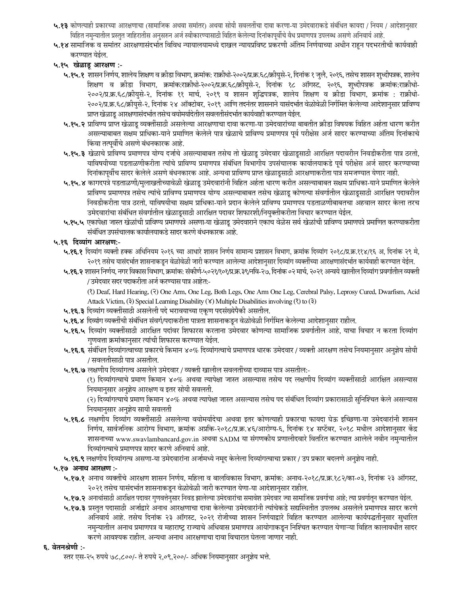- ५.१३ कोणत्याही प्रकारच्या आरक्षणाचा (सामाजिक अथवा समांतर) अथवा सोयी सवलतींचा दावा करणा-या उमेदवाराकडे संबंधित कायदा / नियम / आदेशानुसार विहित नमुन्यातील प्रस्तुत जाहिरातीस अनुसरुन अर्ज स्वीकारण्यासाठी विहित केलेल्या दिनांकापूर्वीचे वैध प्रमाणपत्र उपलब्ध असणे अनिवार्य आहे.
- ५.१४ सामाजिक व समांतर आरक्षणासंदर्भात विविध न्यायालयामध्ये दाखल न्यायप्रविष्ट प्रकरणी अंतिम निर्णयाच्या अधीन राहून पदभरतीची कार्यवाही करण्यात येईल.
- ५.१५ खेळाडू आरक्षण :-
	- ५.१५.१ शासन निर्णय, शालेय शिक्षण व क्रीडा विभाग, क्रमांक: राक्रीधो-२००२/प्र.क्र.६८/क्रीयुसे-२, दिनांक १ जुलै, २०१६, तसेच शासन शुध्दीपत्रक, शालेय शिक्षण व क्रीडा विभाग, क्रमांक:राक्रीधो-२००२/प्र.क.६८/क्रीयुसे-२, दिनांक १८ ऑगस्ट, २०१६, शुध्दीपत्रक क्रमांक:राक्रीधो-२००२/प्र.क्र.६८/क्रीयुसे-२, दिनांक ११ मार्च, २०१९ व शासन शुद्धिपत्रक, शालेय शिक्षण व क्रीडा विभाग, क्रमांक : राक्रीधो-२००२/प्र.क्र.६८/क्रीयसे-२, दिनांक २४ ऑक्टोबर, २०१९ आणि तदनंतर शासनाने यासंदर्भात वेळोवेळी निर्गमित केलेल्या आदेशानसार प्राविण्य प्राप्त खेळाडू आरक्षणासंदर्भात तसेच वयोमर्यादेतील सवलतीसंदर्भात कार्यवाही करण्यात येईल.
	- ५.१५.२ प्राविण्य प्राप्त खेळाडू व्यक्तींसाठी असलेल्या आरक्षणाचा दावा करणा-या उमेदवारांच्या बाबतीत क्रीडा विषयक विहित अर्हता धारण करीत असल्याबाबत सक्षम प्राधिका-याने प्रमाणित केलेले पात्र खेळाचे प्राविण्य प्रमाणपत्र पूर्व परीक्षेस अर्ज सादर करण्याच्या अंतिम दिनांकाचे किंवा तत्पूर्वीचे असणे बंधनकारक आहे.
	- ५.१५.३ खेळाचे प्राविण्य प्रमाणपत्र योग्य दर्जाचे असल्याबाबत तसेच तो खेळाडू उमेदवार खेळाडूसाठी आरक्षित पदावरील निवडीकरीता पात्र ठरतो, याविषयीच्या पडताळणीकरीता त्यांचे प्राविण्य प्रमाणपत्र संबंधित विभागीय उपसंचालक कार्यालयाकडे पूर्व परीक्षेस अर्ज सादर करण्याच्या दिनांकापूर्वीच सादर केलेले असणे बंधनकारक आहे. अन्यथा प्राविण्य प्राप्त खेळाडूसाठी आरक्षणाकरीता पात्र समजण्यात येणार नाही.
	- ५.१५.४ कागदपत्रे पडताळणी/मुलाखतीच्यावेळी खेळाडू उमेदवारांनी विहित अर्हता धारण करीत असल्याबाबत सक्षम प्राधिका-याने प्रमाणित केलेले प्राविण्य प्रमाणपत्र तसेच त्यांचे प्राविण्य प्रमाणपत्र योग्य असल्याबाबत तसेच खेळाडू कोणत्या संवर्गातील खेळाडूसाठी आरक्षित पदावरील निवडीकरीता पात्र ठरतो, याविषयीचा सक्षम प्राधिका-याने प्रदान केलेले प्राविण्य प्रमाणपत्र पडताळणीबाबतचा अहवाल सादर केला तरच उमेदवारांचा संबंधित संवर्गातील खेळाडूसाठी आरक्षित पदावर शिफारशी/नियुक्तीकरीता विचार करण्यात येईल.
	- ५.१५.५ एकापेक्षा जास्त खेळांची प्राविण्य प्रमाणपत्रे असणा-या खेळाडू उमेदवाराने एकाच वेळेस सर्व खेळांची प्राविण्य प्रमाणपत्रे प्रमाणित करण्याकरीता संबंधित उपसंचालक कार्यालयाकडे सादर करणे बंधनकारक आहे.

## ५.१६ दिव्यांग आरक्षण:-

- ५.१६.१ दिव्यांग व्यक्ती हक्क अधिनियम २०१६ च्या आधारे शासन निर्णय सामान्य प्रशासन विभाग, क्रमांक दिव्यांग २०१८/प्र.क्र.११४/१६ अ, दिनांक २९ मे, २०१९ तसेच यासंदर्भात शासनाकडून वेळोवेळी जारी करण्यात आलेल्या आदेशानुसार दिव्यांग व्यक्तींच्या आरक्षणासंदर्भात कार्यवाही करण्यात येईल.
- ५.१६.२ शासन निर्णय, नगर विकास विभाग, क्रमांक: संकीर्ण-५०२१/१०१/प्र.क्र.३९/नवि-२७, दिनांक ०२ मार्च, २०२१ अन्वये खालील दिव्यांग प्रवर्गातील व्यक्ती / उमेदवार सदर पदाकरीता अर्ज करण्यास पात्र आहेत:-

(?) Deaf, Hard Hearing, (?) One Arm, One Leg, Both Legs, One Arm One Leg, Cerebral Palsy, Leprosy Cured, Dwarfism, Acid Attack Victim, (3) Special Learning Disability ( $\angle$ ) Multiple Disabilities involving ( $\angle$ ) to ( $\frac{1}{2}$ )

- ५.१६.३ दिव्यांग व्यक्तींसाठी असलेली पदे भरावयाच्या एकृण पदसंख्येपैकी असतील.
- ५.१६.४ दिव्यांग व्यक्तींची संबंधित संवर्ग/पदाकरीता पात्रता शासनाकडून वेळोवेळी निर्गमित केलेल्या आदेशानुसार राहील.
- ५.**१६.५** दिव्यांग व्यक्तींसाठी आरक्षित पदांवर शिफारस करताना उमेदवार कोणत्या सामाजिक प्रवर्गातील आहे, याचा विचार न करता दिव्यांग गुणवत्ता क्रमांकानुसार त्यांची शिफारस करण्यात येईल.
- ५.१६.६ संबंधित दिव्यांगत्वाच्या प्रकारचे किमान ४०% दिव्यांगत्वाचे प्रमाणपत्र धारक उमेदवार / व्यक्ती आरक्षण तसेच नियमानुसार अनुज्ञेय सोयी / सवलतीसाठी पात्र असतील.
- ५.१६.७ लक्षणीय दिव्यांगत्व असलेले उमेदवार / व्यक्ती खालील सवलतींच्या दाव्यास पात्र असतील:-

(१) दिव्यांगत्वाचे प्रमाण किमान ४०% अथवा त्यापेक्षा जास्त असल्यास तसेच पद लक्षणीय दिव्यांग व्यक्तींसाठी आरक्षित असल्यास नियमानुसार अनुज्ञेय आरक्षण व इतर सोयी सवलती.

(२) दिव्यांगत्याचे प्रमाण किमान ४०% अथवा त्यापेक्षा जास्त असल्यास तसेच पद संबंधित दिव्यांग प्रकारासाठी सुनिश्चित केले असल्यास नियमानुसार अनुज्ञेय सायी सवलती

- ५.१६.८ लक्षणीय दिव्यांग व्यक्तींसाठी असलेल्या वयोमर्यादेचा अथवा इतर कोणत्याही प्रकारचा फायदा घेऊ इच्छिणा-या उमेदवारांनी शासन निर्णय, सार्वजनिक आरोग्य विभाग, क्रमांक अप्रकि-२०१८/प्र.क्र.४६/आरोग्य-६, दिनांक १४ सप्टेंबर, २०१८ मधील आदेशानुसार केंद्र शासनाच्या www.swavlambancard.gov.in अथवा SADM या संगणकीय प्रणालीदवारे वितरित करण्यात आलेले नवीन नमुन्यातील दिव्यांगत्वाचे प्रमाणपत्र सादर करणे अनिवार्य आहे.
- ५.१६.९ लक्षणीय दिव्यांगत्व असणा-या उमेदवारांना अर्जामध्ये नमूद केलेला दिव्यांगत्वाचा प्रकार / उप प्रकार बदलणे अनुज्ञेय नाही.

## ५.१७ अनाथ आरक्षण :-

- ५.१७.१ अनाथ व्यक्तींचे आरक्षण शासन निर्णय, महिला व बालविकास विभाग, क्रमांक: अनाथ-२०१८/प्र.क्र.१८२/का-०३, दिनांक २३ ऑगस्ट, २०२१ तसेच यासंदर्भात शासनाकडून वेळोवेळी जारी करण्यात येणा-या आदेशानुसार राहील.
- ५.१७.२ अनाथांसाठी आरक्षित पदावर गुणवत्तेनुसार निवड झालेल्या उमेदवारांचा समावेश उमेदवार ज्या सामाजिक प्रवर्गाचा आहे; त्या प्रवर्गातून करण्यात येईल.
- ५.१७.३ प्रस्तुत पदासाठी अर्जाद्वारे अनाथ आरक्षणाचा दावा केलेल्या उमेदवारांनी त्यांचेकडे सद्यस्थितीत उपलब्ध असलेले प्रमाणपत्र सादर करणे अनिवार्य आहे. तसेच दिनांक २३ ऑगस्ट, २०२१ रोजीच्या शासन निर्णयाद्वारे विहित करण्यात आलेल्या कार्यपद्धतीनुसार सुधारित नमुन्यातील अनाथ प्रमाणपत्र व महाराष्ट्र राज्याचे अधिवास प्रमाणपत्र आयोगाकडून निश्चित करण्यात येणाऱ्या विहित कालावधीत सादर करणे आवश्यक राहील. अन्यथा अनाथ आरक्षणाचा दावा विचारात घेतला जाणार नाही.

#### ६. वेतनश्रेणी :-

स्तर एस-२५ रुपये ७८,८००/- ते रुपये २,०९,२००/- अधिक नियमानुसार अनुज्ञेय भत्ते.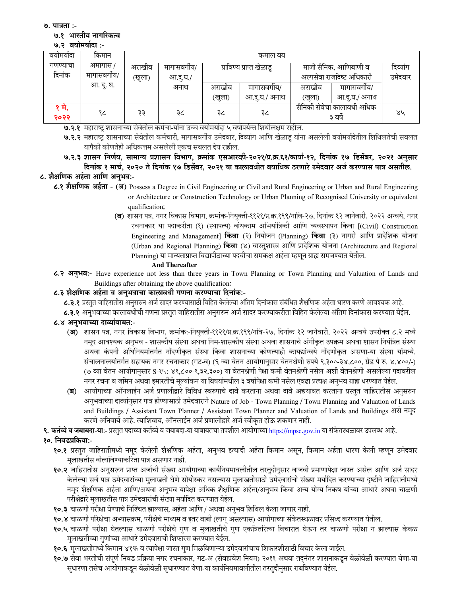७. पात्रता :-

### ७.१ भारतीय नागरिकत्व

#### ७.२ वयोमर्यादा :-

| वयामयादा     | किमान      | कमाल वय |            |                          |               |                                      |               |          |
|--------------|------------|---------|------------|--------------------------|---------------|--------------------------------------|---------------|----------|
| गणण्याचा     | अमागास /   | अराखीव  | मागासवगीय/ | प्राविण्य प्राप्त खेळाडू |               | माजी सैनिक, आणिबाणी व                |               | दिव्यांग |
| दिनांक       | मागासवगीय/ | (खुला)  | आ.दू.घ./   |                          |               | अल्पसेवा राजदिष्ट अधिकारी            | उमेदवार       |          |
|              | आ. दु. घ.  |         | अनाथ       | अराखीव                   | मागासवगोय/    | अराखांव                              | मागासवगीय/    |          |
|              |            |         |            | (खुला)                   | आ.दु.घ./ अनाथ | (खुला)                               | आ.दु.घ./ अनाथ |          |
| १ म,<br>२०२२ | १८         | ३३      | ३८         | ३८                       | ३८            | सैनिकी सेवेचा कालावधी अधिक<br>३ वर्ष |               | ४५       |
|              |            | $\sim$  |            |                          |               |                                      |               |          |

७.२.१ महाराष्ट्र शासनाच्या सेवेतील कर्मचा-यांना उच्च वयोमर्यादा ५ वर्षापर्यन्त शिथीलक्षम राहील.

७.२.२ महाराष्ट्र शासनाच्या सेवेतील कर्मचारी, मागासवर्गीय उमेदवार, दिव्यांग आणि खेळाडू यांना असलेली वयोमर्यादेतील शिथिलतेची सवलत यापैकी कोणतेही अधिकत्तम असलेली एकच सवलत देय राहील.

७.२.३ शासन निर्णय, सामान्य प्रशासन विभाग, क्रमांक एसआरव्ही-२०२१/प्र.क्र.६१/कार्या-१२, दिनांक १७ डिसेंबर, २०२१ अनुसार दिनांक १ मार्च, २०२० ते दिनांक १७ डिसेंबर, २०२१ या कालावधीत वयाधिक ठरणारे उमेदवार अर्ज करण्यास पात्र असतील.

# ८. शैक्षणिक अर्हता आणि अनभव:-

- ८.१ शैक्षणिक अर्हता (अ) Possess a Degree in Civil Engineering or Civil and Rural Engineering or Urban and Rural Engineering or Architecture or Construction Technology or Urban Planning of Recognised University or equivalent qualification;
	- (ब) शासन पत्र, नगर विकास विभाग, क्रमांक-नियुक्ती-११२१/प्र.क्र.१९९/नावि-२७, दिनांक १२ जानेवारी, २०२२ अन्वये, नगर रचनाकार या पदाकरीता (१) (स्थापत्य) बांधकाम अभियांत्रिकी आणि व्यवस्थापन किंवा [(Civil) Construction Engineering and Management] किंवा (२) नियोजन (Planning) किंवा (३) नागरी आणि प्रादेशिक योजना (Urban and Regional Planning) किंवा (४) वास्तूशास्त्र आणि प्रादेशिक योजना (Architecture and Regional Planning) या मान्यताप्राप्त विद्यापीठाच्या पदवीचा समकक्ष अर्हता म्हणून ग्राह्य समजण्यात येतील.

#### **And Thereafter**

८.२ अनुभव:- Have experience not less than three years in Town Planning or Town Planning and Valuation of Lands and Buildings after obtaining the above qualification:

## ८.३ शैक्षणिक अर्हता व अनुभवाचा कालावधी गणना करण्याचा दिनांक:-

८.३.१ प्रस्तुत जाहिरातीस अनुसरुन अर्ज सादर करण्यासाठी विहित केलेल्या अंतिम दिनांकास संबंधित शैक्षणिक अर्हता धारण करणे आवश्यक आहे.

८.३.२ अनुभवाच्या कालावधीची गणना प्रस्तुत जाहिरातीस अनुसरुन अर्ज सादर करण्याकरीता विहित केलेल्या अंतिम दिनांकास करण्यात येईल.

## ८.४ अनभवाच्या दाव्यांबाबत:-

- (अ) शासन पत्र, नगर विकास विभाग, क्रमांक:-नियुक्ती-११२१/प्र.क्र.१९९/नवि-२७, दिनांक १२ जानेवारी, २०२२ अन्वये उपरोक्त ८.२ मध्ये नमुद आवश्यक अनुभव - शासकीय संस्था अथवा निम-शासकीय संस्था अथवा शासनाचे अंगीकृत उपक्रम अथवा शासन नियंत्रित संस्था अथवा कंपनी अधिनियमांतर्गत नोंदणीकृत संस्था किंवा शासनाच्या कोणत्याही कायद्यांन्वये नोंदणीकृत असणा-या संस्था यांमध्ये, संचालनालयांतर्गत सहायक नगर रचनाकार (गट-ब) (६ व्या वेतन आयोगानसार वेतनश्रेणी रुपये ९,३००-३४,८००, ग्रेड पे रु. ४,४००/-) (७ व्या वेतन आयोगानुसार S-१५: ४१,८००-१,३२,३००) या वेतनश्रेणी पेक्षा कमी वेतनश्रेणी नसेल अशी वेतनश्रेणी असलेल्या पदावरील नगर रचना व जमिन अथवा इमारतीचे मुल्यांकन या विषयांमधील ३ वर्षांपेक्षा कमी नसेल एवढा प्रत्यक्ष अनुभव ग्राह्य धरण्यात येईल.
- (ब) आयोगाच्या ऑनलाईन अर्ज प्रणालीद्वारे विविध स्वरुपाचे दावे करताना अथवा दावे अद्ययावत करताना प्रस्तुत जाहिरातीस अनुसरुन अनुभवाच्या दाव्यांनुसार पात्र होण्यासाठी उमेदवाराने Nature of Job - Town Planning / Town Planning and Valuation of Lands and Buildings / Assistant Town Planner / Assistant Town Planner and Valuation of Lands and Buildings असे नमुद करणे अनिवार्य आहे. त्याशिवाय, ऑनलाईन अर्ज प्रणालीद्वारे अर्ज स्वीकृत होऊ शकणार नाही.

९. कर्तव्ये व जबाबदा-या:- प्रस्तुत पदाच्या कर्तव्ये व जबाबदा-या याबाबतचा तपशील आयोगाच्या https://mpsc.gov.in या संकेतस्थळावर उपलब्ध आहे.

## १०. निवडप्रकिया:-

- १०.१ प्रस्तुत जाहिरातीमध्ये नमूद केलेली शैक्षणिक अर्हता, अनुभव इत्यादी अर्हता किमान असून, किमान अर्हता धारण केली म्हणून उमेदवार मुलाखतीस बोलाविण्याकरिता पात्र असणार नाही.
- १०.२ जाहिरातीस अनुसरून प्राप्त अर्जाची संख्या आयोगाच्या कार्यनियमावलीतील तरतुदीनुसार वाजवी प्रमाणापेक्षा जास्त असेल आणि अर्ज सादर केलेल्या सर्व पात्र उमेदवारांच्या मुलाखती घेणे सोयीस्कर नसल्यास मुलाखतीसाठी उमेदवारांची संख्या मर्यादित करण्याच्या दृष्टीने जाहिरातीमध्ये नमुद शैक्षणिक अर्हता आणि/अथवा अनुभव यापेक्षा अधिक शैक्षणिक अर्हता/अनुभव किंवा अन्य योग्य निकष यांच्या आधारे अथवा चाळणी परीक्षेद्वारे मुलाखतीस पात्र उमेदवारांची संख्या मर्यादित करण्यात येईल.
- १०.३ चाळणी परीक्षा घेण्याचे निश्चित झाल्यास, अर्हता आणि / अथवा अनुभव शिथिल केला जाणार नाही.
- १०.४ चाळणी परिक्षेचा अभ्यासक्रम, परीक्षेचे माध्यम व इतर बाबी (लागू असल्यास) आयोगाच्या संकेतस्थळावर प्रसिध्द करण्यात येतील.
- १०.५ चाळणी परीक्षा घेतल्यास चाळणी परीक्षेचे गुण व मुलाखतीचे गुण एकत्रितरित्या विचारात घेऊन तर चाळणी परीक्षा न झाल्यास केवळ मुलाखतीच्या गुणांच्या आधारे उमेदवाराची शिफारस करण्यात येईल.
- १०.६ मुलाखतीमध्ये किमान ४१% व त्यापेक्षा जास्त गुण मिळविणाऱ्या उमेदवारांचाच शिफारशीसाठी विचार केला जाईल.
- १०.७ सेवा भरतीची संपूर्ण निवड प्रक्रिया नगर रचनाकार, गट-अ (सेवाप्रवेश नियम) २०११ अथवा तदनंतर शासनाकडून वेळोवेळी करण्यात येणा-या सधारणा तसेच आयोगाकडन वेळोवेळी सधारण्यात येणा-या कार्यनियमावलीतील तरतदीनसार राबविण्यात येईल.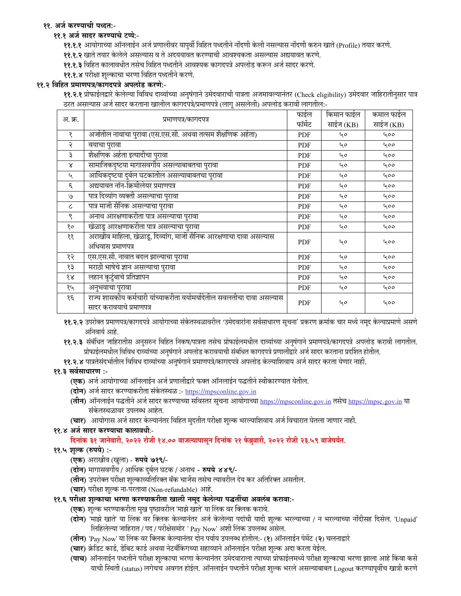# ११. अर्ज करण्याची पध्दत:-

# ११.१ अर्ज सादर करण्याचे टप्पे:-

११.१.१ आयोगाच्या ऑनलाईन अर्ज प्रणालीवर यापुर्वी विहित पध्दतीने नोंदणी केली नसल्यास नोंदणी करुन खाते (Profile) तयार करणे.

११.१.२ खाते तयार केलेले असल्यास व ते अदययावत करण्याची आवश्यकता असल्यास अद्ययावत करणे.

११.१.३ विहित कालावधीत तसेच विहित पध्दतीने आवश्यक कागदपत्रे अपलोड करून अर्ज सादर करणे.

११.१.४ परीक्षा शुल्काचा भरणा विहित पध्दतीने करणे.

## ११.२ विहित प्रमाणपत्र/कागदपत्रे अपलोड करणे:-

११.२.१ प्रोफाईलद्वारे केलेल्या विविध दाव्यांच्या अनुषंगाने उमेदवाराची पात्रता अजमावल्यानंतर (Check eligibility) उमेदवार जाहिरातीनुसार पात्र ठरत असल्यास अर्ज सादर करताना खालील कागदपत्रे/प्रमाणपत्रे (लागू असलेली) अपलोड करावी लागतील:-

|                             |                                                                       | फाईल       | किमान फाईल | कमाल फाईल |
|-----------------------------|-----------------------------------------------------------------------|------------|------------|-----------|
| अ. क्र.                     | प्रमाणपत्र/कागदपत्र                                                   | फॉर्मेट    | साईज (KB)  | साईज (KB) |
| १                           | अर्जातील नावाचा पुरावा (एस.एस.सी. अथवा तत्सम शैक्षणिक अर्हता)         | PDF        | 40         | 400       |
| २                           | वयाचा पुरावा                                                          | PDF        | 40         | 400       |
| ३                           | शैक्षणिक अर्हता इत्यादीचा पुरावा                                      | <b>PDF</b> | ५०         | 400       |
| Χ                           | सामाजिकदृष्टया मागासवर्गीय असल्याबाबतचा पुरावा                        | <b>PDF</b> | 40         | 400       |
| $\mathcal{L}_{\mathcal{A}}$ | आर्थिकदृष्टया दुर्बल घटकातील असल्याबाबतचा पुरावा                      | <b>PDF</b> | 40         | 400       |
| ξ                           | अद्ययावत नॉन-क्रिमीलेयर प्रमाणपत्र                                    | <b>PDF</b> | 40         | 400       |
| U                           | पात्र दिव्यांग व्यक्ती असल्याचा पुरावा                                | <b>PDF</b> | 40         | 400       |
| $\epsilon$                  | पात्र माजी सैनिक असल्याचा पुरावा                                      | <b>PDF</b> | 40         | 400       |
| ९                           | अनाथ आरक्षणाकरीता पात्र असल्याचा पुरावा                               | <b>PDF</b> | 40         | 400       |
| १०                          | खेळाडू आरक्षणाकरीता पात्र असल्याचा पुरावा                             | <b>PDF</b> | 40         | 400       |
| ११                          | अराखीव माहिला, खेळाडू, दिव्यांग, माजी सैनिक आरक्षणाचा दावा असल्यास    | <b>PDF</b> | ५०         | 400       |
|                             | अधिवास प्रमाणपत्र                                                     |            |            |           |
| १२                          | एस.एस.सी. नावात बदल झाल्याचा पुरावा                                   | <b>PDF</b> | 40         | 400       |
| १३                          | मराठी भाषेचे ज्ञान असल्याचा पुरावा                                    | <b>PDF</b> | 40         | 400       |
| १४                          | लहान कुटुंबाचे प्रतिज्ञापन                                            | PDF        | 40         | 400       |
| १५                          | अनुभवाचा पुरावा                                                       | <b>PDF</b> | 40         | 400       |
| १६                          | राज्य शासकीय कर्मचारी यांच्याकरीता वयोमर्यादेतील सवलतीचा दावा असल्यास | <b>PDF</b> | ५०         | 400       |
|                             | सादर करावयाचे प्रमाणपत्र                                              |            |            |           |

११.२.२ उपरोक्त प्रमाणपत्र/कागदपत्रे आयोगाच्या संकेतस्थळावरील 'उमेदवारांना सर्वसाधारण सूचना' प्रकरण क्रमांक चार मध्ये नमूद केल्याप्रमाणे असणे अनिवार्य आहे.

११.२.३ संबंधित जाहिरातीस अनुसरुन विहित निकष/पात्रता तसेच प्रोफाईलमधील दाव्यांच्या अनुषंगाने प्रमाणपत्रे/कागदपत्रे अपलोड करावी लागतील. प्रोफाईलमधील विविध दाव्यांच्या अनुषंगाने अपलोड करावयाची संबधित कागदपत्रे प्रणालीद्वारे अर्ज सादर करताना प्रदर्शित होतील.

११.२.४ पात्रतेसंदर्भातील विविध दाव्यांच्या अनुषंगाने प्रमाणपत्रे/कागदपत्रे अपलोड केल्याशिवाय अर्ज सादर करता येणार नाही.

## ११.३ सर्वसाधारण :-

- (**एक**) अर्ज आयोगाच्या ऑनलाईन अर्ज प्रणालीद्वारे फक्त ऑनलाईन पद्धतीने स्वीकारण्यात येतील.
- (दोन) अर्ज सादर करण्याकरीता संकेतस्थळ :- https://mpsconline.gov.in
- (तीन) ऑनलाईन पद्धतीने अर्ज सादर करण्याच्या सविस्तर सूचना आयोगाच्या https://mpsconline.gov.in तसेच https://mpsc.gov.in या संकेतस्थळावर उपलब्ध आहेत.
- (चार) आयोगास अर्ज सादर केल्यानंतर विहित मुदतीत परीक्षा शुल्क भरल्याशिवाय अर्ज विचारात घेतला जाणार नाही.

## ११.४ अर्ज सादर करण्याचा कालावधीः-

दिनांक ३१ जानेवारी, २०२२ रोजी १४.०० वाजल्यापासून दिनांक २१ फेब्रुवारी, २०२२ रोजी २३.५९ वाजेपर्यंत.

# ११.५ शुल्क (रुपये) :-

- (एक) अराखीव (खुला) रुपये ७१९/-
- (दोन) मागासवर्गीय / आर्थिक दुर्बल घटक / अनाथ रुपये ४४९/-
- (**तीन**) उपरोक्त परीक्षा शुल्काव्यतिरिक्त बँक चार्जेस तसेच त्यावरील देय कर अतिरिक्त असतील.
- (चार) परीक्षा शुल्क ना-परतावा (Non-refundable) आहे.
- ११.६ परीक्षा शुल्काचा भरणा करण्याकरीता खाली नमूद केलेल्या पद्धतींचा अवलंब करावा:-
	- (एक) शुल्क भरण्याकरीता मुख पृष्ठावरील 'माझे खाते' या लिंक वर क्लिक करावे.
	- (**दोन)** 'माझे खाते' या लिंक वर क्लिक केल्यानंतर अर्ज केलेल्या पदांची यादी शुल्क भरल्याच्या / न भरल्याच्या नोंदीसह दिसेल. 'Unpaid' लिहिलेल्या जाहिरात / पद / परीक्षेसमोर ' Pay Now' अशी लिंक उपलब्ध असेल.
	- (**तीन**) 'Pay Now' या लिंक वर क्लिक केल्यानंतर दोन पर्याय उपलब्ध होतील:- (१) ऑनलाईन पेमेंट (२) चलनाद्वारे
	- (चार) क्रेडिट कार्ड, डेबिट कार्ड अथवा नेटबँकिंगच्या सहाय्याने ऑनलाईन परीक्षा शुल्क अदा करता येईल.
	- (पाच) ऑनलाईन पध्दतीने परीक्षा शुल्काचा भरणा केल्यानंतर उमेदवाराला त्याच्या प्रोफाईलमध्ये परीक्षा शुल्काचा भरणा झाला आहे किंवा कसे याची स्थिती (status) लगेचच अवगत होईल. ऑनलाईन पध्दतीने परीक्षा शुल्क भरले असल्याबाबत Logout करण्यापूर्वीच खात्री करणे